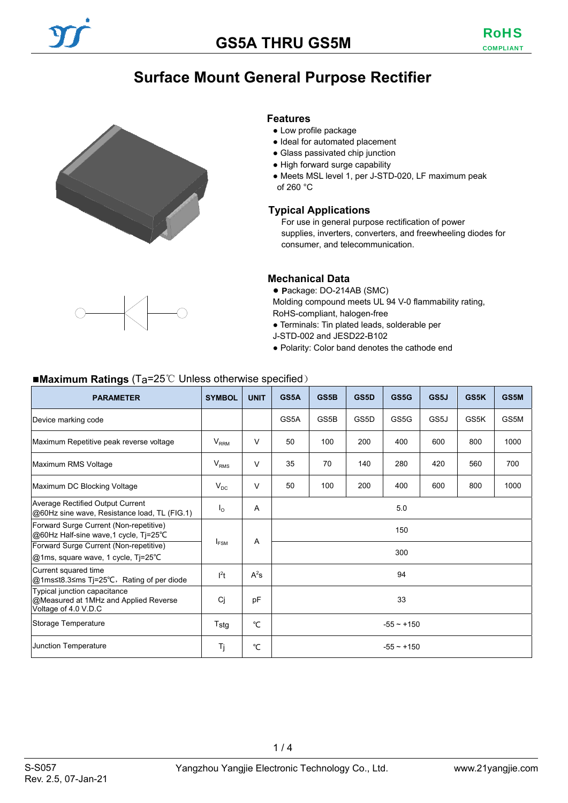# **Surface Mount General Purpose Rectifier**





#### **Features**

- Low profile package
- Ideal for automated placement
- Glass passivated chip junction
- High forward surge capability
- Meets MSL level 1, per J-STD-020, LF maximum peak of 260 °C

#### **Typical Applications**

For use in general purpose rectification of power supplies, inverters, converters, and freewheeling diodes for consumer, and telecommunication.

#### **Mechanical Data**

● **P**ackage: DO-214AB (SMC)

Molding compound meets UL 94 V-0 flammability rating, RoHS-compliant, halogen-free

- Terminals: Tin plated leads, solderable per
- J-STD-002 and JESD22-B102
- Polarity: Color band denotes the cathode end

#### ■**Maximum Ratings** (Ta=25<sup>°</sup>C Unless otherwise specified)

| <b>PARAMETER</b>                                                                              | <b>SYMBOL</b>    | <b>UNIT</b>           | GS5A            | GS5B | GS5D | GS5G | GS5J | GS5K | GS5M |  |
|-----------------------------------------------------------------------------------------------|------------------|-----------------------|-----------------|------|------|------|------|------|------|--|
| Device marking code                                                                           |                  |                       | GS5A            | GS5B | GS5D | GS5G | GS5J | GS5K | GS5M |  |
| Maximum Repetitive peak reverse voltage                                                       | $V_{RRM}$        | $\vee$                | 50              | 100  | 200  | 400  | 600  | 800  | 1000 |  |
| Maximum RMS Voltage                                                                           | $V_{RMS}$        | $\vee$                | 35              | 70   | 140  | 280  | 420  | 560  | 700  |  |
| Maximum DC Blocking Voltage                                                                   | $V_{DC}$         | $\vee$                | 50              | 100  | 200  | 400  | 600  | 800  | 1000 |  |
| <b>Average Rectified Output Current</b><br>@60Hz sine wave, Resistance load, TL (FIG.1)       | $I_{\Omega}$     | A                     | 5.0             |      |      |      |      |      |      |  |
| Forward Surge Current (Non-repetitive)<br>@60Hz Half-sine wave, 1 cycle, Tj=25°C              |                  |                       | 150             |      |      |      |      |      |      |  |
| Forward Surge Current (Non-repetitive)<br>@1ms, square wave, 1 cycle, Ti=25°C                 |                  | A<br>I <sub>FSM</sub> |                 | 300  |      |      |      |      |      |  |
| Current squared time<br>@1ms≤t8.3≤ms Tj=25°C, Rating of per diode                             | I <sup>2</sup> t | $A^2s$                | 94              |      |      |      |      |      |      |  |
| Typical junction capacitance<br>@Measured at 1MHz and Applied Reverse<br>Voltage of 4.0 V.D.C | Ci               | pF                    | 33              |      |      |      |      |      |      |  |
| Storage Temperature                                                                           | $T_{\rm stg}$    | °C                    | $-55 \sim +150$ |      |      |      |      |      |      |  |
| Junction Temperature                                                                          | Tj               | °C                    | $-55 \sim +150$ |      |      |      |      |      |      |  |

 $1/4$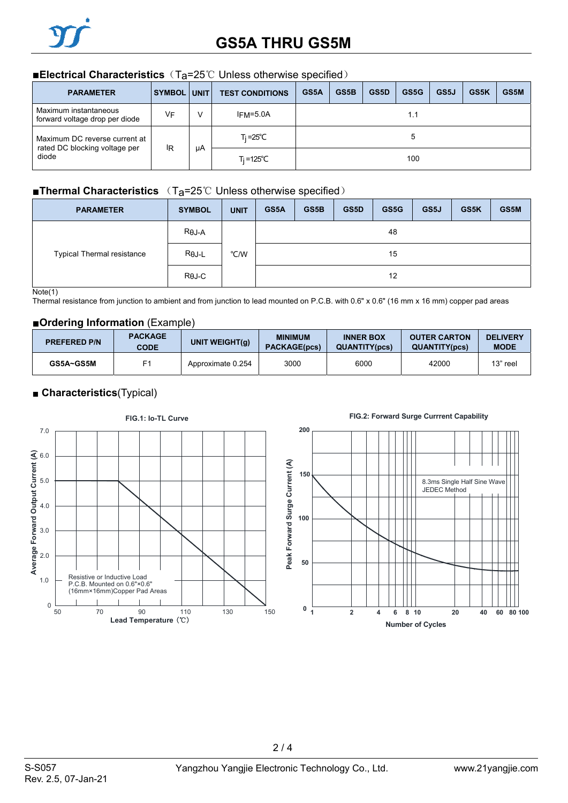#### ■**Electrical Characteristics** (T<sub>a</sub>=25℃ Unless otherwise specified)

| <b>PARAMETER</b>                                               | <b>SYMBOL UNIT</b> |    | <b>TEST CONDITIONS</b> | GS5A | GS5B | GS5D | GS5G | GS5J | GS5K | GS5M |
|----------------------------------------------------------------|--------------------|----|------------------------|------|------|------|------|------|------|------|
| Maximum instantaneous<br>forward voltage drop per diode        | VF                 | v  | $IFM = 5.0A$           | 1.1  |      |      |      |      |      |      |
| Maximum DC reverse current at<br>rated DC blocking voltage per | ΙR                 |    | T <sub>i</sub> =25°C   |      |      |      |      |      |      |      |
| diode                                                          |                    | μA | $Ti = 125^{\circ}C$    |      |      |      | 100  |      |      |      |

### ■**Thermal Characteristics** (T<sub>a</sub>=25℃ Unless otherwise specified)

| <b>PARAMETER</b>                  | <b>SYMBOL</b> | <b>UNIT</b> | GS5A | GS5B | GS5D | GS5G | GS5J | GS5K | GS5M |
|-----------------------------------|---------------|-------------|------|------|------|------|------|------|------|
|                                   | $R\theta J-A$ |             | 48   |      |      |      |      |      |      |
| <b>Typical Thermal resistance</b> | $R\theta$ J-L | °C/W        |      |      |      | 15   |      |      |      |
|                                   | $R\theta$ J-C |             | 12   |      |      |      |      |      |      |

#### Note(1)

Thermal resistance from junction to ambient and from junction to lead mounted on P.C.B. with 0.6" x 0.6" (16 mm x 16 mm) copper pad areas

#### ■**Ordering Information** (Example)

| <b>PREFERED P/N</b> | <b>PACKAGE</b><br><b>CODE</b> | UNIT WEIGHT(g)    | <b>MINIMUM</b><br><b>PACKAGE(pcs)</b> | <b>INNER BOX</b><br><b>QUANTITY(pcs)</b> | <b>OUTER CARTON</b><br><b>QUANTITY(pcs)</b> | <b>DELIVERY</b><br><b>MODE</b> |
|---------------------|-------------------------------|-------------------|---------------------------------------|------------------------------------------|---------------------------------------------|--------------------------------|
| GS5A~GS5M           |                               | Approximate 0.254 | 3000                                  | 6000                                     | 42000                                       | 13" reel                       |

### ■ **Characteristics**(Typical)



#### **FIG.2: Forward Surge Currrent Capability**

8.3ms Single Half Sine Wave

JEDEC Method

 $2/4$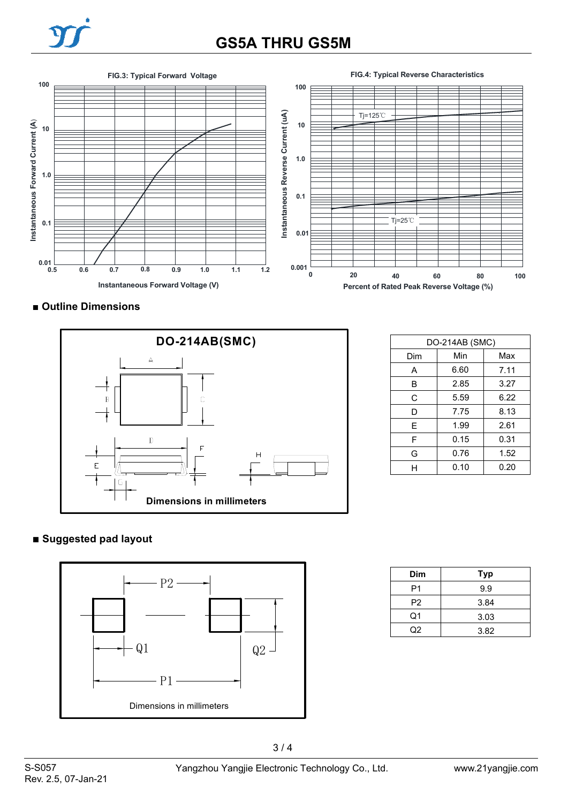

# **GS5A THRU GS5M**



■ **Outline Dimensions** 



| DO-214AB (SMC) |      |      |  |  |  |
|----------------|------|------|--|--|--|
| Dim            | Min  | Max  |  |  |  |
| А              | 6.60 | 7.11 |  |  |  |
| B              | 2.85 | 3.27 |  |  |  |
| C              | 5.59 | 6.22 |  |  |  |
| D              | 7.75 | 8.13 |  |  |  |
| E              | 1.99 | 2.61 |  |  |  |
| F              | 0.15 | 0.31 |  |  |  |
| G              | 0.76 | 1.52 |  |  |  |
| н              | 0.10 | 0.20 |  |  |  |

## **■ Suggested pad layout**



| Dim            | <b>Typ</b> |
|----------------|------------|
| P1             | 9.9        |
| P <sub>2</sub> | 3.84       |
| Q1             | 3.03       |
| ი2             | 3.82       |